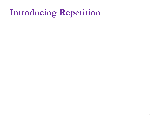## **Introducing Repetition**

L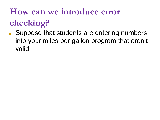#### **How can we introduce error**

# **checking?**

■ Suppose that students are entering numbers into your miles per gallon program that aren't valid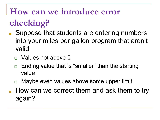## **How can we introduce error**

# **checking?**

- Suppose that students are entering numbers into your miles per gallon program that aren't valid
	- □ Values not above 0
	- ❑ Ending value that is "smaller" than the starting value
	- Maybe even values above some upper limit
- How can we correct them and ask them to try again?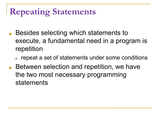## **Repeating Statements**

- Besides selecting which statements to execute, a fundamental need in a program is repetition
	- repeat a set of statements under some conditions
- Between selection and repetition, we have the two most necessary programming statements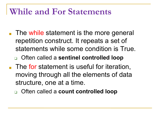### **While and For Statements**

- The while statement is the more general repetition construct. It repeats a set of statements while some condition is True.
	- ❑ Often called a **sentinel controlled loop**
- The for statement is useful for iteration, moving through all the elements of data structure, one at a time.
	- ❑ Often called a **count controlled loop**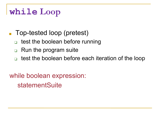## **while Loop**

- Top-tested loop (pretest)
	- test the boolean before running
	- ❑ Run the program suite
	- ❑ test the boolean before each iteration of the loop

while boolean expression: statementSuite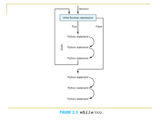

FIGURE 2.3 while loop.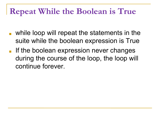## **Repeat While the Boolean is True**

- while loop will repeat the statements in the suite while the boolean expression is True
- If the boolean expression never changes during the course of the loop, the loop will continue forever.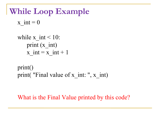## **While Loop Example**

x int  $= 0$ 

```
while x int < 10:
   print (x int)
   x int = x int + 1
```

```
print()
print( "Final value of x int: ", x int)
```
What is the Final Value printed by this code?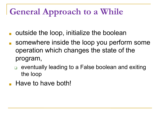## **General Approach to a While**

- outside the loop, initialize the boolean
- somewhere inside the loop you perform some operation which changes the state of the program,
	- ❑ eventually leading to a False boolean and exiting the loop
- Have to have both!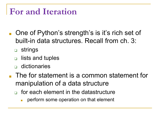## **For and Iteration**

- One of Python's strength's is it's rich set of built-in data structures. Recall from ch. 3:
	- ❑ strings
	- ❑ lists and tuples
	- ❑ dictionaries
- The for statement is a common statement for manipulation of a data structure
	- $\Box$  for each element in the datastructure
		- perform some operation on that element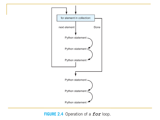

FIGURE 2.4 Operation of a *for* loop.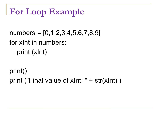# **For Loop Example**

numbers =  $[0,1,2,3,4,5,6,7,8,9]$ for xInt in numbers: print (xInt)

print() print ("Final value of xInt: " + str(xInt) )